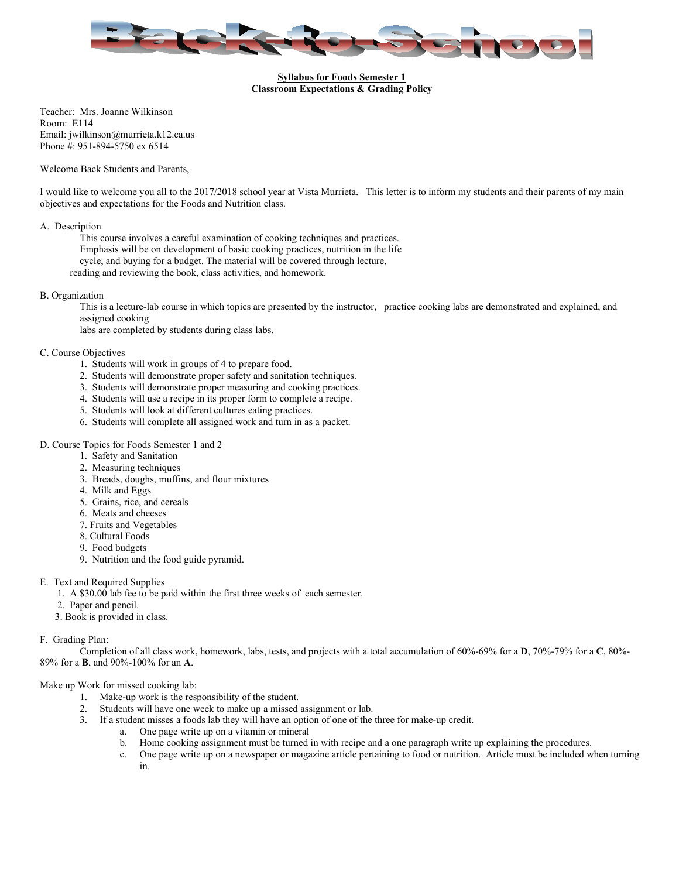

#### **Syllabus for Foods Semester 1 Classroom Expectations & Grading Policy**

Teacher: Mrs. Joanne Wilkinson Room: E114 Email: [jwilkinson@murrieta.k12.ca.us](mailto:jwilkinson@murrieta.k12.ca.us) Phone #: 951-894-5750 ex 6514

Welcome Back Students and Parents,

 I would like to welcome you all to the 2017/2018 school year at Vista Murrieta. This letter is to inform my students and their parents of my main objectives and expectations for the Foods and Nutrition class.

#### A. Description

 This course involves a careful examination of cooking techniques and practices. cycle, and buying for a budget. The material will be covered through lecture, reading and reviewing the book, class activities, and homework. Emphasis will be on development of basic cooking practices, nutrition in the life

#### B. Organization

This is a lecture-lab course in which topics are presented by the instructor, practice cooking labs are demonstrated and explained, and assigned cooking

labs are completed by students during class labs.

#### C. Course Objectives

- 1. Students will work in groups of 4 to prepare food.
- 2. Students will demonstrate proper safety and sanitation techniques.
- 3. Students will demonstrate proper measuring and cooking practices.
- 4. Students will use a recipe in its proper form to complete a recipe.
- 5. Students will look at different cultures eating practices.
- 6. Students will complete all assigned work and turn in as a packet.

#### D. Course Topics for Foods Semester 1 and 2

- 1. Safety and Sanitation
- 2. Measuring techniques
- 3. Breads, doughs, muffins, and flour mixtures
- 4. Milk and Eggs
- 5. Grains, rice, and cereals
- 6. Meats and cheeses
- 7. Fruits and Vegetables
- 8. Cultural Foods
- 9. Food budgets
- 9. Nutrition and the food guide pyramid.

## E. Text and Required Supplies

- 1. A \$30.00 lab fee to be paid within the first three weeks of each semester.
- 2. Paper and pencil.
- 3. Book is provided in class.

## F. Grading Plan:

 F. Grading Plan: Completion of all class work, homework, labs, tests, and projects with a total accumulation of 60%-69% for a **D**, 70%-79% for a **C**, 80%- 89% for a **B**, and 90%-100% for an **A**.

# Make up Work for missed cooking lab:

- 1. Make-up work is the responsibility of the student.
- 2. Students will have one week to make up a missed assignment or lab.
- 3. If a student misses a foods lab they will have an option of one of the three for make-up credit.
	- a. One page write up on a vitamin or mineral
	- b. Home cooking assignment must be turned in with recipe and a one paragraph write up explaining the procedures.
	- c. One page write up on a newspaper or magazine article pertaining to food or nutrition. Article must be included when turning in.